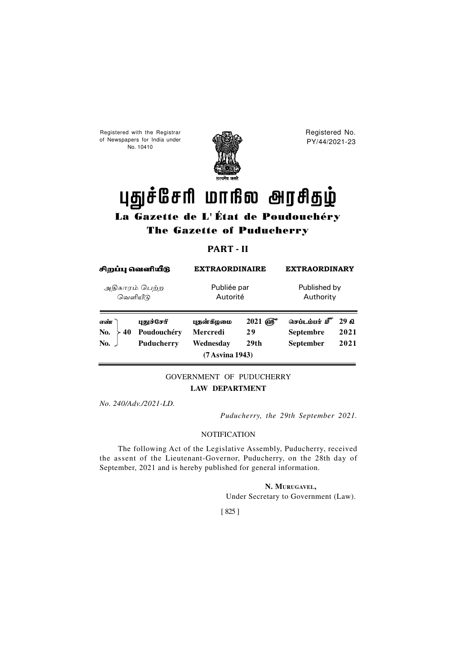Registered with the Registrar of Newspapers for India under No. 10410



Registered No. PY/44/2021-23

# புதுச்சேரி மாநில அரசிதழ்

## La Gazette de L' État de Poudouchéry The Gazette of Puducherry

## **PART - II**

| சிறப்பு வெளியீடு<br>அதிகாரம் பெற்ற<br>வெளியீடு |  | <b>EXTRAORDINAIRE</b><br>Publiée par<br>Autorité |  | <b>EXTRAORDINARY</b><br>Published by<br>Authority |  |
|------------------------------------------------|--|--------------------------------------------------|--|---------------------------------------------------|--|
|                                                |  |                                                  |  |                                                   |  |

### GOVERNMENT OF PUDUCHERRY **LAW DEPARTMENT**

*No. 240/Adv./2021-LD.*

*Puducherry, the 29th September 2021.*

#### **NOTIFICATION**

The following Act of the Legislative Assembly, Puducherry, received the assent of the Lieutenant-Governor, Puducherry, on the 28th day of September, 2021 and is hereby published for general information.

> **N. MURUGAVEL,** Under Secretary to Government (Law).

[ 825 ]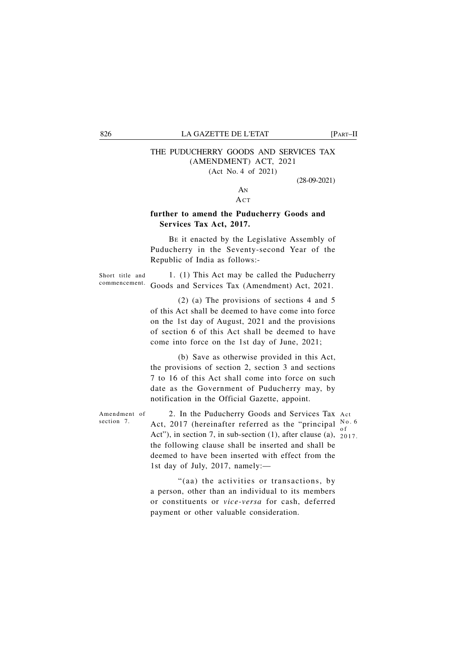#### 826 LA GAZETTE DE L'ETAT [PART–II

## THE PUDUCHERRY GOODS AND SERVICES TAX (AMENDMENT) ACT, 2021

(Act No. 4 of 2021)

(28-09-2021)

#### AN **ACT**

#### **further to amend the Puducherry Goods and Services Tax Act, 2017.**

BE it enacted by the Legislative Assembly of Puducherry in the Seventy-second Year of the Republic of India as follows:-

Short title and commencement.

1. (1) This Act may be called the Puducherry Goods and Services Tax (Amendment) Act, 2021.

(2) (a) The provisions of sections 4 and 5 of this Act shall be deemed to have come into force on the 1st day of August, 2021 and the provisions of section 6 of this Act shall be deemed to have come into force on the 1st day of June, 2021;

(b) Save as otherwise provided in this Act, the provisions of section 2, section 3 and sections 7 to 16 of this Act shall come into force on such date as the Government of Puducherry may, by notification in the Official Gazette, appoint.

Amendment of section 7.

2. In the Puducherry Goods and Services Tax Act Act, 2017 (hereinafter referred as the "principal  $\frac{No. 6}{sf}$ Act"), in section 7, in sub-section  $(1)$ , after clause  $(a)$ ,  $2017$ . the following clause shall be inserted and shall be deemed to have been inserted with effect from the 1st day of July, 2017, namely: o f

"(aa) the activities or transactions, by a person, other than an individual to its members or constituents or *vice-versa* for cash, deferred payment or other valuable consideration.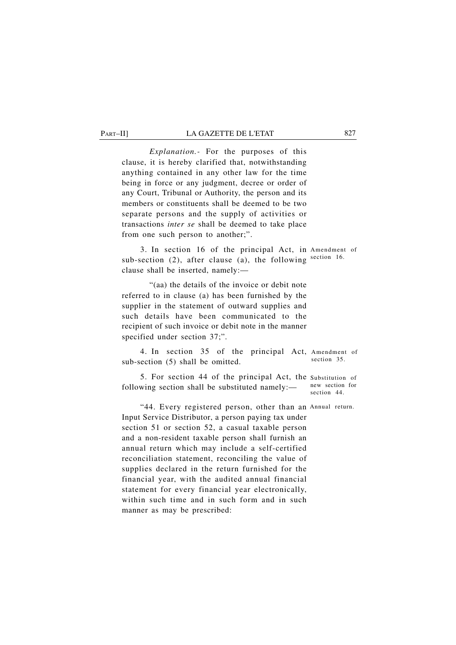#### PART–II] LA GAZETTE DE L'ETAT 827

*Explanation.-* For the purposes of this clause, it is hereby clarified that, notwithstanding anything contained in any other law for the time being in force or any judgment, decree or order of any Court, Tribunal or Authority, the person and its members or constituents shall be deemed to be two separate persons and the supply of activities or transactions *inter se* shall be deemed to take place from one such person to another;".

3. In section 16 of the principal Act, in Amendment of sub-section (2), after clause (a), the following section 16. clause shall be inserted, namely:—

"(aa) the details of the invoice or debit note referred to in clause (a) has been furnished by the supplier in the statement of outward supplies and such details have been communicated to the recipient of such invoice or debit note in the manner specified under section 37;".

4. In section 35 of the principal Act, Amendment of sub-section (5) shall be omitted. section 35.

5. For section 44 of the principal Act, the Substitution of following section shall be substituted namely: new section for section 44

"44. Every registered person, other than an Annual return. Input Service Distributor, a person paying tax under section 51 or section 52, a casual taxable person and a non-resident taxable person shall furnish an annual return which may include a self-certified reconciliation statement, reconciling the value of supplies declared in the return furnished for the financial year, with the audited annual financial statement for every financial year electronically, within such time and in such form and in such manner as may be prescribed: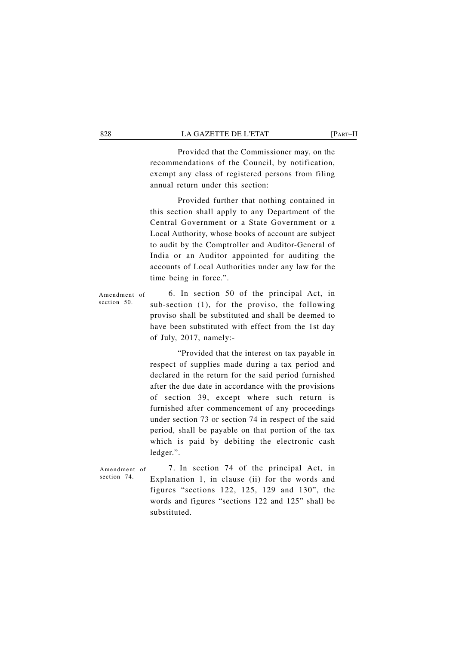#### 828 LA GAZETTE DE L'ETAT [PART–II

Provided that the Commissioner may, on the recommendations of the Council, by notification, exempt any class of registered persons from filing annual return under this section:

Provided further that nothing contained in this section shall apply to any Department of the Central Government or a State Government or a Local Authority, whose books of account are subject to audit by the Comptroller and Auditor-General of India or an Auditor appointed for auditing the accounts of Local Authorities under any law for the time being in force.".

Amendment of section 50.

6. In section 50 of the principal Act, in sub-section (1), for the proviso, the following proviso shall be substituted and shall be deemed to have been substituted with effect from the 1st day of July, 2017, namely:-

"Provided that the interest on tax payable in respect of supplies made during a tax period and declared in the return for the said period furnished after the due date in accordance with the provisions of section 39, except where such return is furnished after commencement of any proceedings under section 73 or section 74 in respect of the said period, shall be payable on that portion of the tax which is paid by debiting the electronic cash ledger.".

Amendment of section 74.

7. In section 74 of the principal Act, in Explanation 1, in clause (ii) for the words and figures "sections 122, 125, 129 and 130", the words and figures "sections 122 and 125" shall be substituted.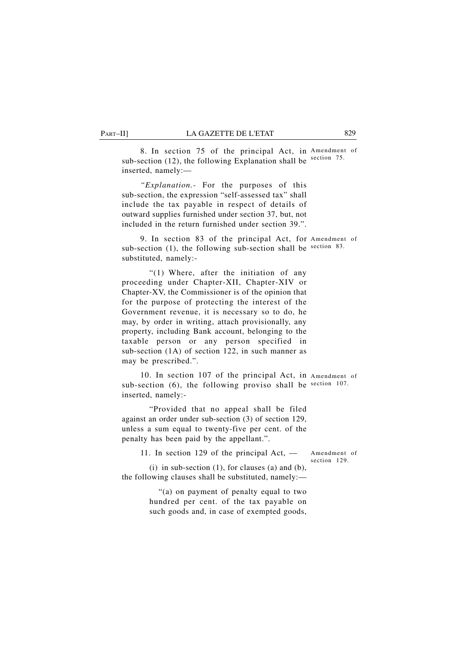PART–II] LA GAZETTE DE L'ETAT 829

8. In section 75 of the principal Act, in Amendment of sub-section  $(12)$ , the following Explanation shall be section 75. inserted, namely:—

*"Explanation.-* For the purposes of this sub-section, the expression "self-assessed tax" shall include the tax payable in respect of details of outward supplies furnished under section 37, but, not included in the return furnished under section 39.".

9. In section 83 of the principal Act, for Amendment of sub-section (1), the following sub-section shall be section 83. substituted, namely:-

"(1) Where, after the initiation of any proceeding under Chapter-XII, Chapter-XIV or Chapter-XV, the Commissioner is of the opinion that for the purpose of protecting the interest of the Government revenue, it is necessary so to do, he may, by order in writing, attach provisionally, any property, including Bank account, belonging to the taxable person or any person specified in sub-section (1A) of section 122, in such manner as may be prescribed.".

10. In section 107 of the principal Act, in Amendment of sub-section (6), the following proviso shall be section 107. inserted, namely:-

"Provided that no appeal shall be filed against an order under sub-section (3) of section 129, unless a sum equal to twenty-five per cent. of the penalty has been paid by the appellant.".

11. In section 129 of the principal Act, —

Amendment of section 129.

(i) in sub-section  $(1)$ , for clauses  $(a)$  and  $(b)$ , the following clauses shall be substituted, namely:—

> "(a) on payment of penalty equal to two hundred per cent. of the tax payable on such goods and, in case of exempted goods,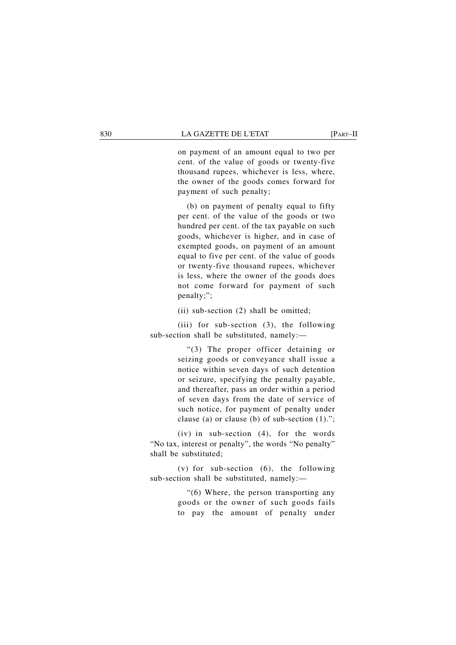#### 830 LA GAZETTE DE L'ETAT [PART–II

on payment of an amount equal to two per cent. of the value of goods or twenty-five thousand rupees, whichever is less, where, the owner of the goods comes forward for payment of such penalty;

(b) on payment of penalty equal to fifty per cent. of the value of the goods or two hundred per cent. of the tax payable on such goods, whichever is higher, and in case of exempted goods, on payment of an amount equal to five per cent. of the value of goods or twenty-five thousand rupees, whichever is less, where the owner of the goods does not come forward for payment of such penalty;";

(ii) sub-section (2) shall be omitted;

(iii) for sub-section (3), the following sub-section shall be substituted, namely:—

> "(3) The proper officer detaining or seizing goods or conveyance shall issue a notice within seven days of such detention or seizure, specifying the penalty payable, and thereafter, pass an order within a period of seven days from the date of service of such notice, for payment of penalty under clause (a) or clause (b) of sub-section (1).";

(iv) in sub-section (4), for the words "No tax, interest or penalty", the words "No penalty" shall be substituted;

(v) for sub-section  $(6)$ , the following sub-section shall be substituted, namely:—

> "(6) Where, the person transporting any goods or the owner of such goods fails to pay the amount of penalty under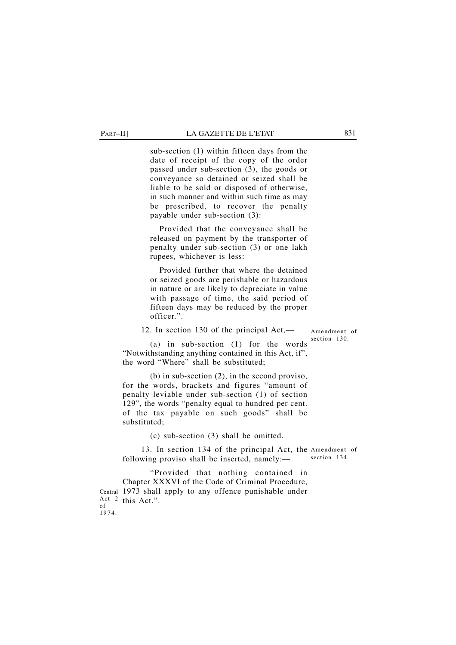#### PART–II] LA GAZETTE DE L'ETAT 831

sub-section (1) within fifteen days from the date of receipt of the copy of the order passed under sub-section (3), the goods or conveyance so detained or seized shall be liable to be sold or disposed of otherwise, in such manner and within such time as may be prescribed, to recover the penalty payable under sub-section (3):

Provided that the conveyance shall be released on payment by the transporter of penalty under sub-section (3) or one lakh rupees, whichever is less:

Provided further that where the detained or seized goods are perishable or hazardous in nature or are likely to depreciate in value with passage of time, the said period of fifteen days may be reduced by the proper officer.".

12. In section 130 of the principal Act,—

Amendment of section 130.

(a) in sub-section (1) for the words "Notwithstanding anything contained in this Act, if", the word "Where" shall be substituted;

(b) in sub-section (2), in the second proviso, for the words, brackets and figures "amount of penalty leviable under sub-section (1) of section 129", the words "penalty equal to hundred per cent. of the tax payable on such goods" shall be substituted;

(c) sub-section (3) shall be omitted.

13. In section 134 of the principal Act, the Amendment of following proviso shall be inserted, namely: section 134.

"Provided that nothing contained in Chapter XXXVI of the Code of Criminal Procedure, 1973 shall apply to any offence punishable under Central Act 2 this Act.". of 1974.